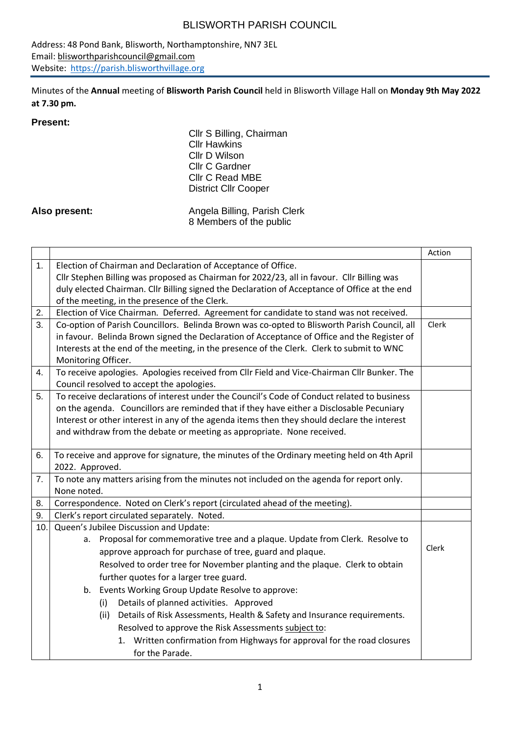Address: 48 Pond Bank, Blisworth, Northamptonshire, NN7 3EL Email: [blisworthparishcouncil@gmail.com](mailto:blisworthparishcouncil@gmail.com) Website: [https://parish.blisworthvillage.org](https://parish.blisworthvillage.org/)

Minutes of the **Annual** meeting of **Blisworth Parish Council** held in Blisworth Village Hall on **Monday 9th May 2022 at 7.30 pm.**

#### **Present:**

Cllr S Billing, Chairman Cllr Hawkins Cllr D Wilson Cllr C Gardner Cllr C Read MBE District Cllr Cooper

Also present: Angela Billing, Parish Clerk 8 Members of the public

|     |                                                                                               | Action |  |  |  |
|-----|-----------------------------------------------------------------------------------------------|--------|--|--|--|
| 1.  | Election of Chairman and Declaration of Acceptance of Office.                                 |        |  |  |  |
|     | Cllr Stephen Billing was proposed as Chairman for 2022/23, all in favour. Cllr Billing was    |        |  |  |  |
|     | duly elected Chairman. Cllr Billing signed the Declaration of Acceptance of Office at the end |        |  |  |  |
|     | of the meeting, in the presence of the Clerk.                                                 |        |  |  |  |
| 2.  | Election of Vice Chairman. Deferred. Agreement for candidate to stand was not received.       |        |  |  |  |
| 3.  | Co-option of Parish Councillors. Belinda Brown was co-opted to Blisworth Parish Council, all  | Clerk  |  |  |  |
|     | in favour. Belinda Brown signed the Declaration of Acceptance of Office and the Register of   |        |  |  |  |
|     | Interests at the end of the meeting, in the presence of the Clerk. Clerk to submit to WNC     |        |  |  |  |
|     | Monitoring Officer.                                                                           |        |  |  |  |
| 4.  | To receive apologies. Apologies received from Cllr Field and Vice-Chairman Cllr Bunker. The   |        |  |  |  |
|     | Council resolved to accept the apologies.                                                     |        |  |  |  |
| 5.  | To receive declarations of interest under the Council's Code of Conduct related to business   |        |  |  |  |
|     | on the agenda. Councillors are reminded that if they have either a Disclosable Pecuniary      |        |  |  |  |
|     | Interest or other interest in any of the agenda items then they should declare the interest   |        |  |  |  |
|     | and withdraw from the debate or meeting as appropriate. None received.                        |        |  |  |  |
|     |                                                                                               |        |  |  |  |
| 6.  | To receive and approve for signature, the minutes of the Ordinary meeting held on 4th April   |        |  |  |  |
|     | 2022. Approved.                                                                               |        |  |  |  |
| 7.  | To note any matters arising from the minutes not included on the agenda for report only.      |        |  |  |  |
|     | None noted.                                                                                   |        |  |  |  |
| 8.  | Correspondence. Noted on Clerk's report (circulated ahead of the meeting).                    |        |  |  |  |
| 9.  | Clerk's report circulated separately. Noted.                                                  |        |  |  |  |
| 10. | Queen's Jubilee Discussion and Update:                                                        |        |  |  |  |
|     | Proposal for commemorative tree and a plaque. Update from Clerk. Resolve to<br>а.             | Clerk  |  |  |  |
|     | approve approach for purchase of tree, guard and plaque.                                      |        |  |  |  |
|     | Resolved to order tree for November planting and the plaque. Clerk to obtain                  |        |  |  |  |
|     | further quotes for a larger tree guard.                                                       |        |  |  |  |
|     | b. Events Working Group Update Resolve to approve:                                            |        |  |  |  |
|     | Details of planned activities. Approved<br>(i)                                                |        |  |  |  |
|     | Details of Risk Assessments, Health & Safety and Insurance requirements.<br>(ii)              |        |  |  |  |
|     | Resolved to approve the Risk Assessments subject to:                                          |        |  |  |  |
|     | 1. Written confirmation from Highways for approval for the road closures                      |        |  |  |  |
|     | for the Parade.                                                                               |        |  |  |  |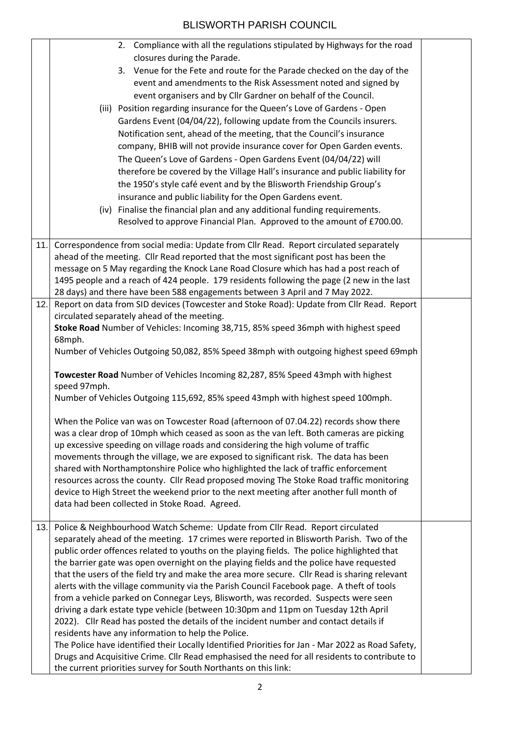|     | 2. Compliance with all the regulations stipulated by Highways for the road                                                                                                                         |  |  |  |
|-----|----------------------------------------------------------------------------------------------------------------------------------------------------------------------------------------------------|--|--|--|
|     | closures during the Parade.                                                                                                                                                                        |  |  |  |
|     | 3. Venue for the Fete and route for the Parade checked on the day of the                                                                                                                           |  |  |  |
|     | event and amendments to the Risk Assessment noted and signed by                                                                                                                                    |  |  |  |
|     | event organisers and by Cllr Gardner on behalf of the Council.                                                                                                                                     |  |  |  |
|     | (iii) Position regarding insurance for the Queen's Love of Gardens - Open                                                                                                                          |  |  |  |
|     | Gardens Event (04/04/22), following update from the Councils insurers.                                                                                                                             |  |  |  |
|     | Notification sent, ahead of the meeting, that the Council's insurance                                                                                                                              |  |  |  |
|     | company, BHIB will not provide insurance cover for Open Garden events.                                                                                                                             |  |  |  |
|     | The Queen's Love of Gardens - Open Gardens Event (04/04/22) will                                                                                                                                   |  |  |  |
|     | therefore be covered by the Village Hall's insurance and public liability for                                                                                                                      |  |  |  |
|     | the 1950's style café event and by the Blisworth Friendship Group's                                                                                                                                |  |  |  |
|     | insurance and public liability for the Open Gardens event.                                                                                                                                         |  |  |  |
|     | (iv) Finalise the financial plan and any additional funding requirements.                                                                                                                          |  |  |  |
|     | Resolved to approve Financial Plan. Approved to the amount of £700.00.                                                                                                                             |  |  |  |
|     | Correspondence from social media: Update from Cllr Read. Report circulated separately                                                                                                              |  |  |  |
| 11. | ahead of the meeting. Cllr Read reported that the most significant post has been the                                                                                                               |  |  |  |
|     | message on 5 May regarding the Knock Lane Road Closure which has had a post reach of                                                                                                               |  |  |  |
|     | 1495 people and a reach of 424 people. 179 residents following the page (2 new in the last                                                                                                         |  |  |  |
|     | 28 days) and there have been 588 engagements between 3 April and 7 May 2022.                                                                                                                       |  |  |  |
| 12. | Report on data from SID devices (Towcester and Stoke Road): Update from Cllr Read. Report                                                                                                          |  |  |  |
|     | circulated separately ahead of the meeting.                                                                                                                                                        |  |  |  |
|     | Stoke Road Number of Vehicles: Incoming 38,715, 85% speed 36mph with highest speed                                                                                                                 |  |  |  |
|     | 68mph.                                                                                                                                                                                             |  |  |  |
|     | Number of Vehicles Outgoing 50,082, 85% Speed 38mph with outgoing highest speed 69mph                                                                                                              |  |  |  |
|     | Towcester Road Number of Vehicles Incoming 82,287, 85% Speed 43mph with highest                                                                                                                    |  |  |  |
|     | speed 97mph.                                                                                                                                                                                       |  |  |  |
|     | Number of Vehicles Outgoing 115,692, 85% speed 43mph with highest speed 100mph.                                                                                                                    |  |  |  |
|     |                                                                                                                                                                                                    |  |  |  |
|     | When the Police van was on Towcester Road (afternoon of 07.04.22) records show there                                                                                                               |  |  |  |
|     | was a clear drop of 10mph which ceased as soon as the van left. Both cameras are picking                                                                                                           |  |  |  |
|     | up excessive speeding on village roads and considering the high volume of traffic                                                                                                                  |  |  |  |
|     | movements through the village, we are exposed to significant risk. The data has been                                                                                                               |  |  |  |
|     | shared with Northamptonshire Police who highlighted the lack of traffic enforcement                                                                                                                |  |  |  |
|     | resources across the county. Cllr Read proposed moving The Stoke Road traffic monitoring                                                                                                           |  |  |  |
|     | device to High Street the weekend prior to the next meeting after another full month of<br>data had been collected in Stoke Road. Agreed.                                                          |  |  |  |
|     |                                                                                                                                                                                                    |  |  |  |
| 13. | Police & Neighbourhood Watch Scheme: Update from Cllr Read. Report circulated                                                                                                                      |  |  |  |
|     | separately ahead of the meeting. 17 crimes were reported in Blisworth Parish. Two of the                                                                                                           |  |  |  |
|     | public order offences related to youths on the playing fields. The police highlighted that                                                                                                         |  |  |  |
|     | the barrier gate was open overnight on the playing fields and the police have requested                                                                                                            |  |  |  |
|     | that the users of the field try and make the area more secure. Cllr Read is sharing relevant                                                                                                       |  |  |  |
|     | alerts with the village community via the Parish Council Facebook page. A theft of tools                                                                                                           |  |  |  |
|     | from a vehicle parked on Connegar Leys, Blisworth, was recorded. Suspects were seen                                                                                                                |  |  |  |
|     | driving a dark estate type vehicle (between 10:30pm and 11pm on Tuesday 12th April                                                                                                                 |  |  |  |
|     | 2022). Cllr Read has posted the details of the incident number and contact details if                                                                                                              |  |  |  |
|     | residents have any information to help the Police.                                                                                                                                                 |  |  |  |
|     | The Police have identified their Locally Identified Priorities for Jan - Mar 2022 as Road Safety,<br>Drugs and Acquisitive Crime. Cllr Read emphasised the need for all residents to contribute to |  |  |  |
|     | the current priorities survey for South Northants on this link:                                                                                                                                    |  |  |  |
|     |                                                                                                                                                                                                    |  |  |  |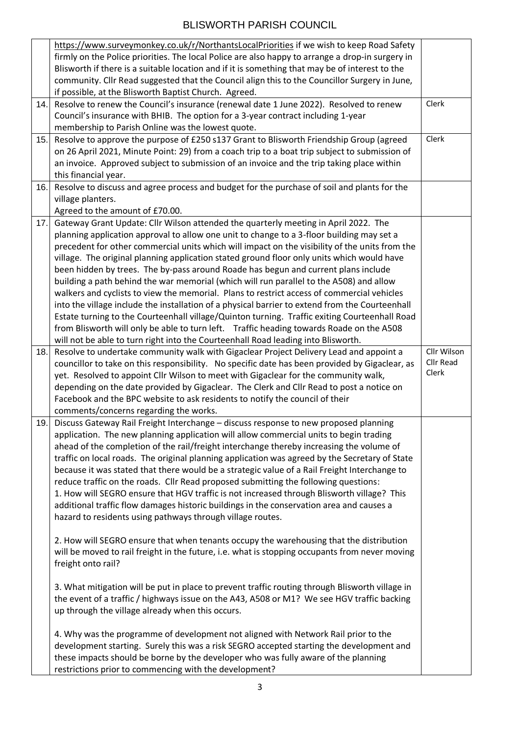|     | https://www.surveymonkey.co.uk/r/NorthantsLocalPriorities if we wish to keep Road Safety         |             |
|-----|--------------------------------------------------------------------------------------------------|-------------|
|     | firmly on the Police priorities. The local Police are also happy to arrange a drop-in surgery in |             |
|     | Blisworth if there is a suitable location and if it is something that may be of interest to the  |             |
|     | community. Cllr Read suggested that the Council align this to the Councillor Surgery in June,    |             |
|     | if possible, at the Blisworth Baptist Church. Agreed.                                            |             |
| 14. | Resolve to renew the Council's insurance (renewal date 1 June 2022). Resolved to renew           | Clerk       |
|     | Council's insurance with BHIB. The option for a 3-year contract including 1-year                 |             |
|     | membership to Parish Online was the lowest quote.                                                |             |
| 15. | Resolve to approve the purpose of £250 s137 Grant to Blisworth Friendship Group (agreed          | Clerk       |
|     | on 26 April 2021, Minute Point: 29) from a coach trip to a boat trip subject to submission of    |             |
|     | an invoice. Approved subject to submission of an invoice and the trip taking place within        |             |
|     | this financial year.                                                                             |             |
| 16. | Resolve to discuss and agree process and budget for the purchase of soil and plants for the      |             |
|     | village planters.                                                                                |             |
|     | Agreed to the amount of £70.00.                                                                  |             |
| 17. | Gateway Grant Update: Cllr Wilson attended the quarterly meeting in April 2022. The              |             |
|     | planning application approval to allow one unit to change to a 3-floor building may set a        |             |
|     | precedent for other commercial units which will impact on the visibility of the units from the   |             |
|     | village. The original planning application stated ground floor only units which would have       |             |
|     | been hidden by trees. The by-pass around Roade has begun and current plans include               |             |
|     | building a path behind the war memorial (which will run parallel to the A508) and allow          |             |
|     | walkers and cyclists to view the memorial. Plans to restrict access of commercial vehicles       |             |
|     | into the village include the installation of a physical barrier to extend from the Courteenhall  |             |
|     | Estate turning to the Courteenhall village/Quinton turning. Traffic exiting Courteenhall Road    |             |
|     | from Blisworth will only be able to turn left. Traffic heading towards Roade on the A508         |             |
|     | will not be able to turn right into the Courteenhall Road leading into Blisworth.                |             |
| 18. | Resolve to undertake community walk with Gigaclear Project Delivery Lead and appoint a           | Cllr Wilson |
|     | councillor to take on this responsibility. No specific date has been provided by Gigaclear, as   | Cllr Read   |
|     | yet. Resolved to appoint Cllr Wilson to meet with Gigaclear for the community walk,              | Clerk       |
|     | depending on the date provided by Gigaclear. The Clerk and Cllr Read to post a notice on         |             |
|     | Facebook and the BPC website to ask residents to notify the council of their                     |             |
|     | comments/concerns regarding the works.                                                           |             |
| 19. | Discuss Gateway Rail Freight Interchange - discuss response to new proposed planning             |             |
|     | application. The new planning application will allow commercial units to begin trading           |             |
|     | ahead of the completion of the rail/freight interchange thereby increasing the volume of         |             |
|     | traffic on local roads. The original planning application was agreed by the Secretary of State   |             |
|     | because it was stated that there would be a strategic value of a Rail Freight Interchange to     |             |
|     | reduce traffic on the roads. Cllr Read proposed submitting the following questions:              |             |
|     | 1. How will SEGRO ensure that HGV traffic is not increased through Blisworth village? This       |             |
|     | additional traffic flow damages historic buildings in the conservation area and causes a         |             |
|     | hazard to residents using pathways through village routes.                                       |             |
|     |                                                                                                  |             |
|     | 2. How will SEGRO ensure that when tenants occupy the warehousing that the distribution          |             |
|     | will be moved to rail freight in the future, i.e. what is stopping occupants from never moving   |             |
|     | freight onto rail?                                                                               |             |
|     |                                                                                                  |             |
|     |                                                                                                  |             |
|     | 3. What mitigation will be put in place to prevent traffic routing through Blisworth village in  |             |
|     | the event of a traffic / highways issue on the A43, A508 or M1? We see HGV traffic backing       |             |
|     | up through the village already when this occurs.                                                 |             |
|     |                                                                                                  |             |
|     | 4. Why was the programme of development not aligned with Network Rail prior to the               |             |
|     | development starting. Surely this was a risk SEGRO accepted starting the development and         |             |
|     | these impacts should be borne by the developer who was fully aware of the planning               |             |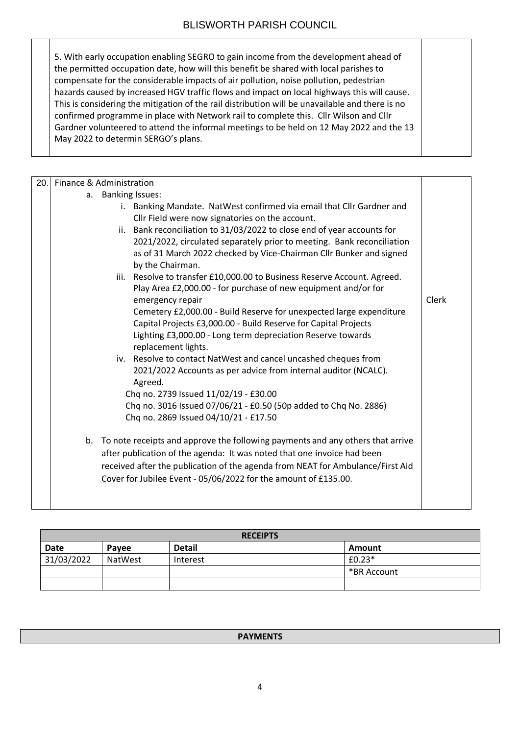| 5. With early occupation enabling SEGRO to gain income from the development ahead of                                                                                                     |
|------------------------------------------------------------------------------------------------------------------------------------------------------------------------------------------|
| the permitted occupation date, how will this benefit be shared with local parishes to<br>compensate for the considerable impacts of air pollution, noise pollution, pedestrian           |
| hazards caused by increased HGV traffic flows and impact on local highways this will cause.                                                                                              |
| This is considering the mitigation of the rail distribution will be unavailable and there is no<br>confirmed programme in place with Network rail to complete this. Cllr Wilson and Cllr |
| Gardner volunteered to attend the informal meetings to be held on 12 May 2022 and the 13<br>May 2022 to determin SERGO's plans.                                                          |
|                                                                                                                                                                                          |

| 20. | Finance & Administration                                                                                                                                                                                                                                                                                                                                                                                                                                                                                                                                                                                                                                                                                                                                                                                                                                                                                                                                                                                                                                                                                                                                                                                                                                                                                                            |              |  |
|-----|-------------------------------------------------------------------------------------------------------------------------------------------------------------------------------------------------------------------------------------------------------------------------------------------------------------------------------------------------------------------------------------------------------------------------------------------------------------------------------------------------------------------------------------------------------------------------------------------------------------------------------------------------------------------------------------------------------------------------------------------------------------------------------------------------------------------------------------------------------------------------------------------------------------------------------------------------------------------------------------------------------------------------------------------------------------------------------------------------------------------------------------------------------------------------------------------------------------------------------------------------------------------------------------------------------------------------------------|--------------|--|
|     | a. Banking Issues:                                                                                                                                                                                                                                                                                                                                                                                                                                                                                                                                                                                                                                                                                                                                                                                                                                                                                                                                                                                                                                                                                                                                                                                                                                                                                                                  |              |  |
|     | i. Banking Mandate. NatWest confirmed via email that Cllr Gardner and<br>Cllr Field were now signatories on the account.<br>ii. Bank reconciliation to 31/03/2022 to close end of year accounts for<br>2021/2022, circulated separately prior to meeting. Bank reconciliation<br>as of 31 March 2022 checked by Vice-Chairman Cllr Bunker and signed<br>by the Chairman.<br>iii. Resolve to transfer £10,000.00 to Business Reserve Account. Agreed.<br>Play Area £2,000.00 - for purchase of new equipment and/or for<br>emergency repair<br>Cemetery £2,000.00 - Build Reserve for unexpected large expenditure<br>Capital Projects £3,000.00 - Build Reserve for Capital Projects<br>Lighting £3,000.00 - Long term depreciation Reserve towards<br>replacement lights.<br>iv. Resolve to contact NatWest and cancel uncashed cheques from<br>2021/2022 Accounts as per advice from internal auditor (NCALC).<br>Agreed.<br>Chq no. 2739 Issued 11/02/19 - £30.00<br>Chq no. 3016 Issued 07/06/21 - £0.50 (50p added to Chq No. 2886)<br>Chq no. 2869 Issued 04/10/21 - £17.50<br>b. To note receipts and approve the following payments and any others that arrive<br>after publication of the agenda: It was noted that one invoice had been<br>received after the publication of the agenda from NEAT for Ambulance/First Aid | <b>Clerk</b> |  |
|     | Cover for Jubilee Event - 05/06/2022 for the amount of £135.00.                                                                                                                                                                                                                                                                                                                                                                                                                                                                                                                                                                                                                                                                                                                                                                                                                                                                                                                                                                                                                                                                                                                                                                                                                                                                     |              |  |

|            | <b>RECEIPTS</b> |               |             |  |  |
|------------|-----------------|---------------|-------------|--|--|
| Date       | Pavee           | <b>Detail</b> | Amount      |  |  |
| 31/03/2022 | NatWest         | Interest      | $£0.23*$    |  |  |
|            |                 |               | *BR Account |  |  |
|            |                 |               |             |  |  |

#### **PAYMENTS**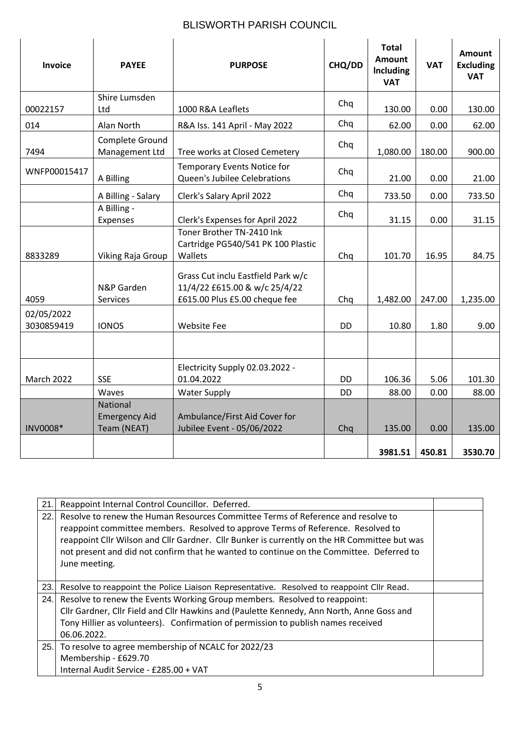| <b>Invoice</b>           | <b>PAYEE</b>                                           | <b>PURPOSE</b>                                                                                       | CHQ/DD    | <b>Total</b><br><b>Amount</b><br><b>Including</b><br><b>VAT</b> | <b>VAT</b> | Amount<br><b>Excluding</b><br><b>VAT</b> |
|--------------------------|--------------------------------------------------------|------------------------------------------------------------------------------------------------------|-----------|-----------------------------------------------------------------|------------|------------------------------------------|
| 00022157                 | Shire Lumsden<br>Ltd                                   | 1000 R&A Leaflets                                                                                    | Chq       | 130.00                                                          | 0.00       | 130.00                                   |
| 014                      | Alan North                                             | R&A Iss. 141 April - May 2022                                                                        | Chq       | 62.00                                                           | 0.00       | 62.00                                    |
| 7494                     | Complete Ground<br>Management Ltd                      | Tree works at Closed Cemetery                                                                        | Chq       | 1,080.00                                                        | 180.00     | 900.00                                   |
| WNFP00015417             | A Billing                                              | <b>Temporary Events Notice for</b><br>Queen's Jubilee Celebrations                                   | Chq       | 21.00                                                           | 0.00       | 21.00                                    |
|                          | A Billing - Salary                                     | Clerk's Salary April 2022                                                                            | Chq       | 733.50                                                          | 0.00       | 733.50                                   |
|                          | A Billing -<br>Expenses                                | Clerk's Expenses for April 2022                                                                      | Chq       | 31.15                                                           | 0.00       | 31.15                                    |
| 8833289                  | Viking Raja Group                                      | Toner Brother TN-2410 Ink<br>Cartridge PG540/541 PK 100 Plastic<br>Wallets                           | Chq       | 101.70                                                          | 16.95      | 84.75                                    |
| 4059                     | N&P Garden<br>Services                                 | Grass Cut inclu Eastfield Park w/c<br>11/4/22 £615.00 & w/c 25/4/22<br>£615.00 Plus £5.00 cheque fee | Chq       | 1,482.00                                                        | 247.00     | 1,235.00                                 |
| 02/05/2022<br>3030859419 | <b>IONOS</b>                                           | <b>Website Fee</b>                                                                                   | <b>DD</b> | 10.80                                                           | 1.80       | 9.00                                     |
|                          |                                                        |                                                                                                      |           |                                                                 |            |                                          |
| March 2022               | <b>SSE</b>                                             | Electricity Supply 02.03.2022 -<br>01.04.2022                                                        | <b>DD</b> | 106.36                                                          | 5.06       | 101.30                                   |
|                          | Waves                                                  | <b>Water Supply</b>                                                                                  | <b>DD</b> | 88.00                                                           | 0.00       | 88.00                                    |
| INV0008*                 | <b>National</b><br><b>Emergency Aid</b><br>Team (NEAT) | Ambulance/First Aid Cover for<br>Jubilee Event - 05/06/2022                                          | Chq       | 135.00                                                          | 0.00       | 135.00                                   |
|                          |                                                        |                                                                                                      |           | 3981.51                                                         | 450.81     | 3530.70                                  |

| 21.  | Reappoint Internal Control Councillor. Deferred.                                                                                                                                                                                                                                                                                                                                  |  |
|------|-----------------------------------------------------------------------------------------------------------------------------------------------------------------------------------------------------------------------------------------------------------------------------------------------------------------------------------------------------------------------------------|--|
| 22.1 | Resolve to renew the Human Resources Committee Terms of Reference and resolve to<br>reappoint committee members. Resolved to approve Terms of Reference. Resolved to<br>reappoint Cllr Wilson and Cllr Gardner. Cllr Bunker is currently on the HR Committee but was<br>not present and did not confirm that he wanted to continue on the Committee. Deferred to<br>June meeting. |  |
| 23.1 | Resolve to reappoint the Police Liaison Representative. Resolved to reappoint Cllr Read.                                                                                                                                                                                                                                                                                          |  |
| 24.  | Resolve to renew the Events Working Group members. Resolved to reappoint:<br>Cllr Gardner, Cllr Field and Cllr Hawkins and (Paulette Kennedy, Ann North, Anne Goss and<br>Tony Hillier as volunteers). Confirmation of permission to publish names received<br>06.06.2022.                                                                                                        |  |
|      | 25. To resolve to agree membership of NCALC for 2022/23<br>Membership - £629.70<br>Internal Audit Service - £285.00 + VAT                                                                                                                                                                                                                                                         |  |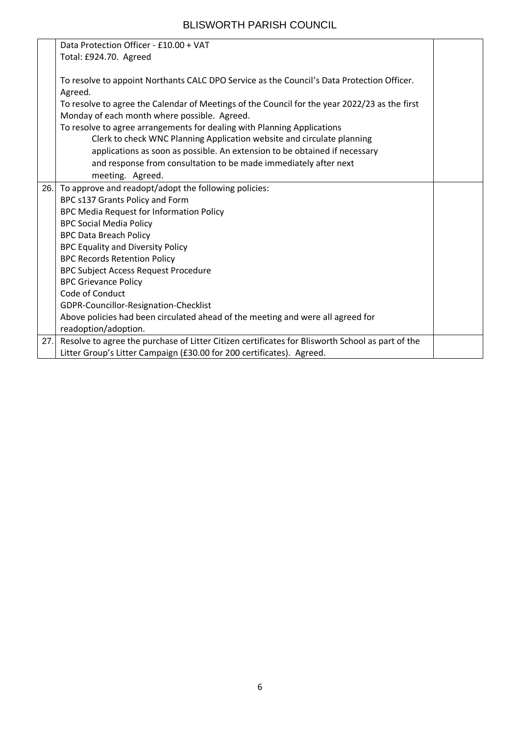|     | Data Protection Officer - £10.00 + VAT                                                           |  |
|-----|--------------------------------------------------------------------------------------------------|--|
|     | Total: £924.70. Agreed                                                                           |  |
|     |                                                                                                  |  |
|     | To resolve to appoint Northants CALC DPO Service as the Council's Data Protection Officer.       |  |
|     | Agreed.                                                                                          |  |
|     | To resolve to agree the Calendar of Meetings of the Council for the year 2022/23 as the first    |  |
|     | Monday of each month where possible. Agreed.                                                     |  |
|     | To resolve to agree arrangements for dealing with Planning Applications                          |  |
|     | Clerk to check WNC Planning Application website and circulate planning                           |  |
|     | applications as soon as possible. An extension to be obtained if necessary                       |  |
|     | and response from consultation to be made immediately after next                                 |  |
|     | meeting. Agreed.                                                                                 |  |
| 26. | To approve and readopt/adopt the following policies:                                             |  |
|     | BPC s137 Grants Policy and Form                                                                  |  |
|     | BPC Media Request for Information Policy                                                         |  |
|     | <b>BPC Social Media Policy</b>                                                                   |  |
|     | <b>BPC Data Breach Policy</b>                                                                    |  |
|     | <b>BPC Equality and Diversity Policy</b>                                                         |  |
|     | <b>BPC Records Retention Policy</b>                                                              |  |
|     | <b>BPC Subject Access Request Procedure</b>                                                      |  |
|     | <b>BPC Grievance Policy</b>                                                                      |  |
|     | Code of Conduct                                                                                  |  |
|     | GDPR-Councillor-Resignation-Checklist                                                            |  |
|     | Above policies had been circulated ahead of the meeting and were all agreed for                  |  |
|     | readoption/adoption.                                                                             |  |
| 27. | Resolve to agree the purchase of Litter Citizen certificates for Blisworth School as part of the |  |
|     | Litter Group's Litter Campaign (£30.00 for 200 certificates). Agreed.                            |  |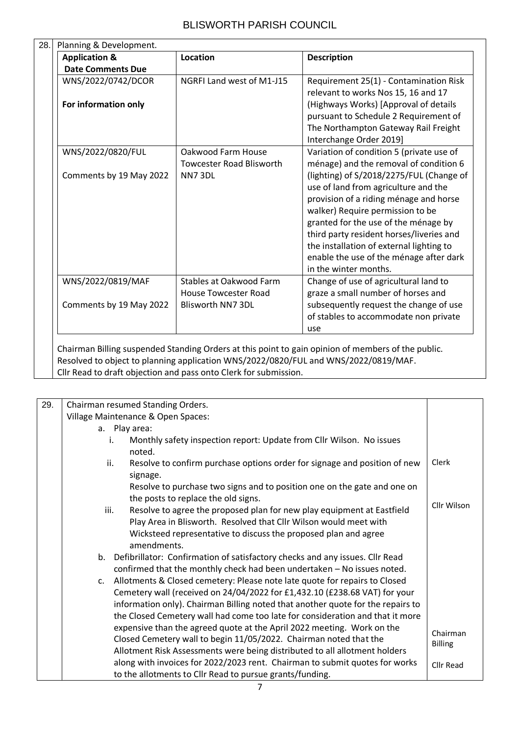| <b>Application &amp;</b> | Location                        | <b>Description</b>                                                            |
|--------------------------|---------------------------------|-------------------------------------------------------------------------------|
| <b>Date Comments Due</b> |                                 |                                                                               |
| WNS/2022/0742/DCOR       | NGRFI Land west of M1-J15       | Requirement 25(1) - Contamination Risk<br>relevant to works Nos 15, 16 and 17 |
| For information only     |                                 | (Highways Works) [Approval of details                                         |
|                          |                                 | pursuant to Schedule 2 Requirement of                                         |
|                          |                                 | The Northampton Gateway Rail Freight                                          |
|                          |                                 | Interchange Order 2019]                                                       |
| WNS/2022/0820/FUL        | Oakwood Farm House              | Variation of condition 5 (private use of                                      |
|                          | <b>Towcester Road Blisworth</b> | ménage) and the removal of condition 6                                        |
| Comments by 19 May 2022  | NN73DL                          | (lighting) of S/2018/2275/FUL (Change of                                      |
|                          |                                 | use of land from agriculture and the                                          |
|                          |                                 | provision of a riding ménage and horse                                        |
|                          |                                 | walker) Require permission to be                                              |
|                          |                                 | granted for the use of the ménage by                                          |
|                          |                                 | third party resident horses/liveries and                                      |
|                          |                                 | the installation of external lighting to                                      |
|                          |                                 | enable the use of the ménage after dark                                       |
|                          |                                 | in the winter months.                                                         |
| WNS/2022/0819/MAF        | Stables at Oakwood Farm         | Change of use of agricultural land to                                         |
|                          | <b>House Towcester Road</b>     | graze a small number of horses and                                            |
| Comments by 19 May 2022  | <b>Blisworth NN7 3DL</b>        | subsequently request the change of use                                        |
|                          |                                 | of stables to accommodate non private                                         |
|                          |                                 | use                                                                           |

Cllr Read to draft objection and pass onto Clerk for submission.

| 29. | Chairman resumed Standing Orders.                                                                               |                            |  |
|-----|-----------------------------------------------------------------------------------------------------------------|----------------------------|--|
|     |                                                                                                                 |                            |  |
|     | Village Maintenance & Open Spaces:                                                                              |                            |  |
|     | a. Play area:                                                                                                   |                            |  |
|     | Monthly safety inspection report: Update from Cllr Wilson. No issues<br>i.<br>noted.                            |                            |  |
|     | Resolve to confirm purchase options order for signage and position of new<br>ii.<br>signage.                    | Clerk                      |  |
|     | Resolve to purchase two signs and to position one on the gate and one on<br>the posts to replace the old signs. |                            |  |
|     | Resolve to agree the proposed plan for new play equipment at Eastfield<br>iii.                                  | Cllr Wilson                |  |
|     | Play Area in Blisworth. Resolved that Cllr Wilson would meet with                                               |                            |  |
|     | Wicksteed representative to discuss the proposed plan and agree                                                 |                            |  |
|     | amendments.                                                                                                     |                            |  |
|     | Defibrillator: Confirmation of satisfactory checks and any issues. Cllr Read<br>b.                              |                            |  |
|     | confirmed that the monthly check had been undertaken - No issues noted.                                         |                            |  |
|     | Allotments & Closed cemetery: Please note late quote for repairs to Closed<br>C.                                |                            |  |
|     | Cemetery wall (received on 24/04/2022 for £1,432.10 (£238.68 VAT) for your                                      |                            |  |
|     | information only). Chairman Billing noted that another quote for the repairs to                                 |                            |  |
|     | the Closed Cemetery wall had come too late for consideration and that it more                                   |                            |  |
|     | expensive than the agreed quote at the April 2022 meeting. Work on the                                          |                            |  |
|     | Closed Cemetery wall to begin 11/05/2022. Chairman noted that the                                               | Chairman<br><b>Billing</b> |  |
|     | Allotment Risk Assessments were being distributed to all allotment holders                                      |                            |  |
|     | along with invoices for 2022/2023 rent. Chairman to submit quotes for works                                     | Cllr Read                  |  |
|     | to the allotments to Cllr Read to pursue grants/funding.                                                        |                            |  |